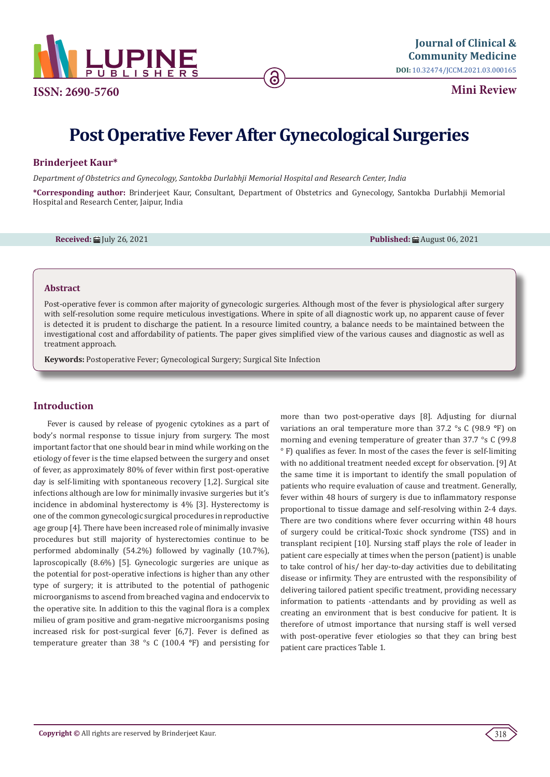

**Mini Review**

# **Post Operative Fever After Gynecological Surgeries**

ခ

# **Brinderjeet Kaur\***

*Department of Obstetrics and Gynecology, Santokba Durlabhji Memorial Hospital and Research Center, India*

**\*Corresponding author:** Brinderjeet Kaur, Consultant, Department of Obstetrics and Gynecology, Santokba Durlabhji Memorial Hospital and Research Center, Jaipur, India

**Received:** 曲 July 26, 2021 **Published:** 曲 August 06, 2021 **Published:** 曲 August 06, 2021

## **Abstract**

Post-operative fever is common after majority of gynecologic surgeries. Although most of the fever is physiological after surgery with self-resolution some require meticulous investigations. Where in spite of all diagnostic work up, no apparent cause of fever is detected it is prudent to discharge the patient. In a resource limited country, a balance needs to be maintained between the investigational cost and affordability of patients. The paper gives simplified view of the various causes and diagnostic as well as treatment approach.

**Keywords:** Postoperative Fever; Gynecological Surgery; Surgical Site Infection

# **Introduction**

Fever is caused by release of pyogenic cytokines as a part of body's normal response to tissue injury from surgery. The most important factor that one should bear in mind while working on the etiology of fever is the time elapsed between the surgery and onset of fever, as approximately 80% of fever within first post-operative day is self-limiting with spontaneous recovery [1,2]. Surgical site infections although are low for minimally invasive surgeries but it's incidence in abdominal hysterectomy is 4% [3]. Hysterectomy is one of the common gynecologic surgical procedures in reproductive age group [4]. There have been increased role of minimally invasive procedures but still majority of hysterectomies continue to be performed abdominally (54.2%) followed by vaginally (10.7%), laproscopically (8.6%) [5]. Gynecologic surgeries are unique as the potential for post-operative infections is higher than any other type of surgery; it is attributed to the potential of pathogenic microorganisms to ascend from breached vagina and endocervix to the operative site. In addition to this the vaginal flora is a complex milieu of gram positive and gram-negative microorganisms posing increased risk for post-surgical fever [6,7]. Fever is defined as temperature greater than 38 °s C (100.4 **°**F) and persisting for more than two post-operative days [8]. Adjusting for diurnal variations an oral temperature more than 37.2 °s C (98.9 **°**F) on morning and evening temperature of greater than 37.7 °s C (99.8 ° F) qualifies as fever. In most of the cases the fever is self-limiting with no additional treatment needed except for observation. [9] At the same time it is important to identify the small population of patients who require evaluation of cause and treatment. Generally, fever within 48 hours of surgery is due to inflammatory response proportional to tissue damage and self-resolving within 2-4 days. There are two conditions where fever occurring within 48 hours of surgery could be critical**-**Toxic shock syndrome (TSS) and in transplant recipient [10]. Nursing staff plays the role of leader in patient care especially at times when the person (patient) is unable to take control of his/ her day-to-day activities due to debilitating disease or infirmity. They are entrusted with the responsibility of delivering tailored patient specific treatment, providing necessary information to patients -attendants and by providing as well as creating an environment that is best conducive for patient. It is therefore of utmost importance that nursing staff is well versed with post-operative fever etiologies so that they can bring best patient care practices Table 1.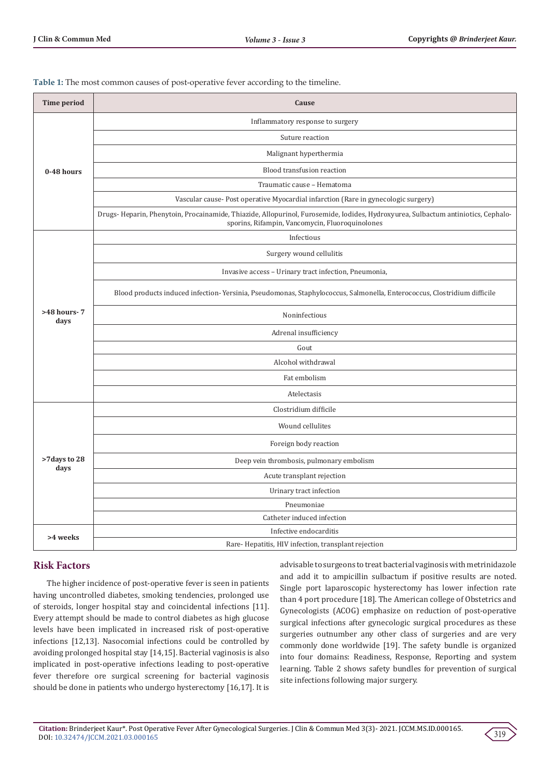**Table 1:** The most common causes of post-operative fever according to the timeline.

| <b>Time period</b>    | Cause                                                                                                                                                                               |
|-----------------------|-------------------------------------------------------------------------------------------------------------------------------------------------------------------------------------|
| 0-48 hours            | Inflammatory response to surgery                                                                                                                                                    |
|                       | Suture reaction                                                                                                                                                                     |
|                       | Malignant hyperthermia                                                                                                                                                              |
|                       | Blood transfusion reaction                                                                                                                                                          |
|                       | Traumatic cause - Hematoma                                                                                                                                                          |
|                       | Vascular cause-Post operative Myocardial infarction (Rare in gynecologic surgery)                                                                                                   |
|                       | Drugs-Heparin, Phenytoin, Procainamide, Thiazide, Allopurinol, Furosemide, Iodides, Hydroxyurea, Sulbactum antiniotics, Cephalo-<br>sporins, Rifampin, Vancomycin, Fluoroquinolones |
| >48 hours-7<br>days   | Infectious                                                                                                                                                                          |
|                       | Surgery wound cellulitis                                                                                                                                                            |
|                       | Invasive access - Urinary tract infection, Pneumonia,                                                                                                                               |
|                       | Blood products induced infection-Yersinia, Pseudomonas, Staphylococcus, Salmonella, Enterococcus, Clostridium difficile                                                             |
|                       | Noninfectious                                                                                                                                                                       |
|                       | Adrenal insufficiency                                                                                                                                                               |
|                       | Gout                                                                                                                                                                                |
|                       | Alcohol withdrawal                                                                                                                                                                  |
|                       | Fat embolism                                                                                                                                                                        |
|                       | Atelectasis                                                                                                                                                                         |
|                       | Clostridium difficile                                                                                                                                                               |
| >7 days to 28<br>days | Wound cellulites                                                                                                                                                                    |
|                       | Foreign body reaction                                                                                                                                                               |
|                       | Deep vein thrombosis, pulmonary embolism                                                                                                                                            |
|                       | Acute transplant rejection                                                                                                                                                          |
|                       | Urinary tract infection                                                                                                                                                             |
|                       | Pneumoniae                                                                                                                                                                          |
|                       | Catheter induced infection                                                                                                                                                          |
| >4 weeks              | Infective endocarditis                                                                                                                                                              |
|                       | Rare-Hepatitis, HIV infection, transplant rejection                                                                                                                                 |

# **Risk Factors**

The higher incidence of post-operative fever is seen in patients having uncontrolled diabetes, smoking tendencies, prolonged use of steroids, longer hospital stay and coincidental infections [11]. Every attempt should be made to control diabetes as high glucose levels have been implicated in increased risk of post-operative infections [12,13]. Nasocomial infections could be controlled by avoiding prolonged hospital stay [14,15]. Bacterial vaginosis is also implicated in post-operative infections leading to post-operative fever therefore ore surgical screening for bacterial vaginosis should be done in patients who undergo hysterectomy [16,17]. It is advisable to surgeons to treat bacterial vaginosis with metrinidazole and add it to ampicillin sulbactum if positive results are noted. Single port laparoscopic hysterectomy has lower infection rate than 4 port procedure [18]. The American college of Obstetrics and Gynecologists (ACOG) emphasize on reduction of post-operative surgical infections after gynecologic surgical procedures as these surgeries outnumber any other class of surgeries and are very commonly done worldwide [19]. The safety bundle is organized into four domains: Readiness, Response, Reporting and system learning. Table 2 shows safety bundles for prevention of surgical site infections following major surgery.

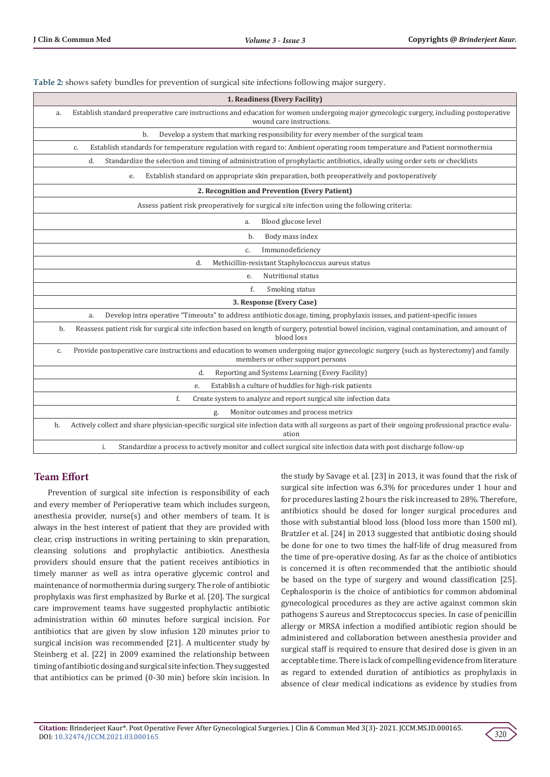| 1. Readiness (Every Facility)                                                                                                                                                   |  |  |  |  |
|---------------------------------------------------------------------------------------------------------------------------------------------------------------------------------|--|--|--|--|
| Establish standard preoperative care instructions and education for women undergoing major gynecologic surgery, including postoperative<br>a.<br>wound care instructions.       |  |  |  |  |
| Develop a system that marking responsibility for every member of the surgical team<br>b.                                                                                        |  |  |  |  |
| Establish standards for temperature regulation with regard to: Ambient operating room temperature and Patient normothermia<br>C.                                                |  |  |  |  |
| Standardize the selection and timing of administration of prophylactic antibiotics, ideally using order sets or checklists<br>d.                                                |  |  |  |  |
| Establish standard on appropriate skin preparation, both preoperatively and postoperatively<br>e.                                                                               |  |  |  |  |
| 2. Recognition and Prevention (Every Patient)                                                                                                                                   |  |  |  |  |
| Assess patient risk preoperatively for surgical site infection using the following criteria:                                                                                    |  |  |  |  |
| Blood glucose level<br>a.                                                                                                                                                       |  |  |  |  |
| Body mass index<br>b.                                                                                                                                                           |  |  |  |  |
| Immunodeficiency<br>c.                                                                                                                                                          |  |  |  |  |
| Methicillin-resistant Staphylococcus aureus status<br>d.                                                                                                                        |  |  |  |  |
| Nutritional status<br>e.                                                                                                                                                        |  |  |  |  |
| f.<br>Smoking status                                                                                                                                                            |  |  |  |  |
| 3. Response (Every Case)                                                                                                                                                        |  |  |  |  |
| Develop intra operative "Timeouts" to address antibiotic dosage, timing, prophylaxis issues, and patient-specific issues<br>a.                                                  |  |  |  |  |
| Reassess patient risk for surgical site infection based on length of surgery, potential bowel incision, vaginal contamination, and amount of<br>b.<br>blood loss                |  |  |  |  |
| Provide postoperative care instructions and education to women undergoing major gynecologic surgery (such as hysterectomy) and family<br>c.<br>members or other support persons |  |  |  |  |
| Reporting and Systems Learning (Every Facility)<br>d.                                                                                                                           |  |  |  |  |
| Establish a culture of huddles for high-risk patients<br>e.                                                                                                                     |  |  |  |  |
| Create system to analyze and report surgical site infection data<br>f.                                                                                                          |  |  |  |  |
| Monitor outcomes and process metrics<br>g.                                                                                                                                      |  |  |  |  |
| Actively collect and share physician-specific surgical site infection data with all surgeons as part of their ongoing professional practice evalu-<br>h.<br>ation               |  |  |  |  |
| i.<br>Standardize a process to actively monitor and collect surgical site infection data with post discharge follow-up                                                          |  |  |  |  |

# **Team Effort**

Prevention of surgical site infection is responsibility of each and every member of Perioperative team which includes surgeon, anesthesia provider, nurse(s) and other members of team. It is always in the best interest of patient that they are provided with clear, crisp instructions in writing pertaining to skin preparation, cleansing solutions and prophylactic antibiotics. Anesthesia providers should ensure that the patient receives antibiotics in timely manner as well as intra operative glycemic control and maintenance of normothermia during surgery. The role of antibiotic prophylaxis was first emphasized by Burke et al. [20]. The surgical care improvement teams have suggested prophylactic antibiotic administration within 60 minutes before surgical incision. For antibiotics that are given by slow infusion 120 minutes prior to surgical incision was recommended [21]. A multicenter study by Steinberg et al. [22] in 2009 examined the relationship between timing of antibiotic dosing and surgical site infection. They suggested that antibiotics can be primed (0-30 min) before skin incision. In the study by Savage et al. [23] in 2013, it was found that the risk of surgical site infection was 6.3% for procedures under 1 hour and for procedures lasting 2 hours the risk increased to 28%. Therefore, antibiotics should be dosed for longer surgical procedures and those with substantial blood loss (blood loss more than 1500 ml). Bratzler et al. [24] in 2013 suggested that antibiotic dosing should be done for one to two times the half-life of drug measured from the time of pre-operative dosing. As far as the choice of antibiotics is concerned it is often recommended that the antibiotic should be based on the type of surgery and wound classification [25]. Cephalosporin is the choice of antibiotics for common abdominal gynecological procedures as they are active against common skin pathogens S aureus and Streptococcus species. In case of penicillin allergy or MRSA infection a modified antibiotic region should be administered and collaboration between anesthesia provider and surgical staff is required to ensure that desired dose is given in an acceptable time. There is lack of compelling evidence from literature as regard to extended duration of antibiotics as prophylaxis in absence of clear medical indications as evidence by studies from

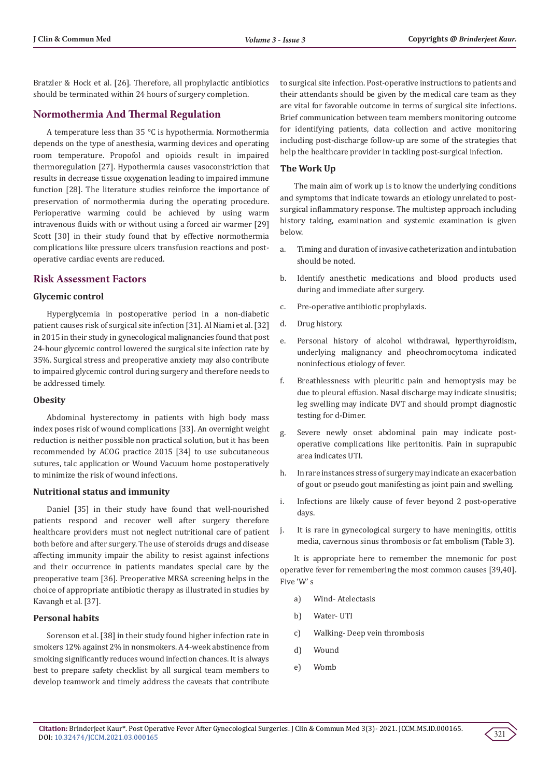Bratzler & Hock et al. [26]. Therefore, all prophylactic antibiotics should be terminated within 24 hours of surgery completion.

## **Normothermia And Thermal Regulation**

A temperature less than 35 °C is hypothermia. Normothermia depends on the type of anesthesia, warming devices and operating room temperature. Propofol and opioids result in impaired thermoregulation [27]. Hypothermia causes vasoconstriction that results in decrease tissue oxygenation leading to impaired immune function [28]. The literature studies reinforce the importance of preservation of normothermia during the operating procedure. Perioperative warming could be achieved by using warm intravenous fluids with or without using a forced air warmer [29] Scott [30] in their study found that by effective normothermia complications like pressure ulcers transfusion reactions and postoperative cardiac events are reduced.

## **Risk Assessment Factors**

#### **Glycemic control**

Hyperglycemia in postoperative period in a non-diabetic patient causes risk of surgical site infection [31]. Al Niami et al. [32] in 2015 in their study in gynecological malignancies found that post 24-hour glycemic control lowered the surgical site infection rate by 35%. Surgical stress and preoperative anxiety may also contribute to impaired glycemic control during surgery and therefore needs to be addressed timely.

### **Obesity**

Abdominal hysterectomy in patients with high body mass index poses risk of wound complications [33]. An overnight weight reduction is neither possible non practical solution, but it has been recommended by ACOG practice 2015 [34] to use subcutaneous sutures, talc application or Wound Vacuum home postoperatively to minimize the risk of wound infections.

#### **Nutritional status and immunity**

Daniel [35] in their study have found that well-nourished patients respond and recover well after surgery therefore healthcare providers must not neglect nutritional care of patient both before and after surgery. The use of steroids drugs and disease affecting immunity impair the ability to resist against infections and their occurrence in patients mandates special care by the preoperative team [36]. Preoperative MRSA screening helps in the choice of appropriate antibiotic therapy as illustrated in studies by Kavangh et al. [37].

## **Personal habits**

Sorenson et al. [38] in their study found higher infection rate in smokers 12% against 2% in nonsmokers. A 4-week abstinence from smoking significantly reduces wound infection chances. It is always best to prepare safety checklist by all surgical team members to develop teamwork and timely address the caveats that contribute to surgical site infection. Post-operative instructions to patients and their attendants should be given by the medical care team as they are vital for favorable outcome in terms of surgical site infections. Brief communication between team members monitoring outcome for identifying patients, data collection and active monitoring including post-discharge follow-up are some of the strategies that help the healthcare provider in tackling post-surgical infection.

## **The Work Up**

The main aim of work up is to know the underlying conditions and symptoms that indicate towards an etiology unrelated to postsurgical inflammatory response. The multistep approach including history taking, examination and systemic examination is given below.

- a. Timing and duration of invasive catheterization and intubation should be noted.
- b. Identify anesthetic medications and blood products used during and immediate after surgery.
- c. Pre-operative antibiotic prophylaxis.
- d. Drug history.
- e. Personal history of alcohol withdrawal, hyperthyroidism, underlying malignancy and pheochromocytoma indicated noninfectious etiology of fever.
- f. Breathlessness with pleuritic pain and hemoptysis may be due to pleural effusion. Nasal discharge may indicate sinusitis; leg swelling may indicate DVT and should prompt diagnostic testing for d-Dimer.
- g. Severe newly onset abdominal pain may indicate postoperative complications like peritonitis. Pain in suprapubic area indicates UTI.
- h. In rare instances stress of surgery may indicate an exacerbation of gout or pseudo gout manifesting as joint pain and swelling.
- i. Infections are likely cause of fever beyond 2 post-operative days.
- j. It is rare in gynecological surgery to have meningitis, ottitis media, cavernous sinus thrombosis or fat embolism (Table 3).

It is appropriate here to remember the mnemonic for post operative fever for remembering the most common causes [39,40]. Five 'W' s

- a) Wind- Atelectasis
- b) Water- UTI
- c) Walking- Deep vein thrombosis
- d) Wound
- e) Womb

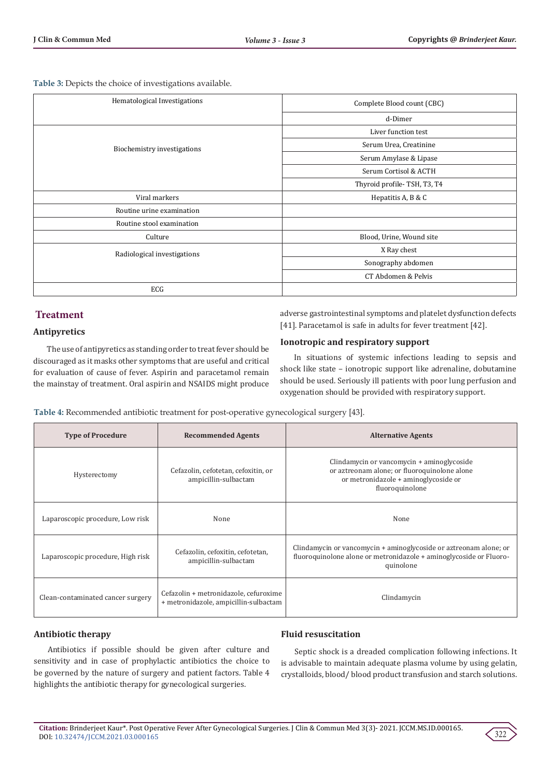**Table 3:** Depicts the choice of investigations available.

| Hematological Investigations | Complete Blood count (CBC)  |
|------------------------------|-----------------------------|
|                              | d-Dimer                     |
|                              | Liver function test         |
| Biochemistry investigations  | Serum Urea, Creatinine      |
|                              | Serum Amylase & Lipase      |
|                              | Serum Cortisol & ACTH       |
|                              | Thyroid profile-TSH, T3, T4 |
| Viral markers                | Hepatitis A, B & C          |
| Routine urine examination    |                             |
| Routine stool examination    |                             |
| Culture                      | Blood, Urine, Wound site    |
| Radiological investigations  | X Ray chest                 |
|                              | Sonography abdomen          |
|                              | CT Abdomen & Pelvis         |
| ECG                          |                             |

# **Treatment**

# **Antipyretics**

adverse gastrointestinal symptoms and platelet dysfunction defects [41]. Paracetamol is safe in adults for fever treatment [42].

The use of antipyretics as standing order to treat fever should be discouraged as it masks other symptoms that are useful and critical for evaluation of cause of fever. Aspirin and paracetamol remain the mainstay of treatment. Oral aspirin and NSAIDS might produce

**Ionotropic and respiratory support**

In situations of systemic infections leading to sepsis and shock like state – ionotropic support like adrenaline, dobutamine should be used. Seriously ill patients with poor lung perfusion and oxygenation should be provided with respiratory support.

**Table 4:** Recommended antibiotic treatment for post-operative gynecological surgery [43].

| <b>Type of Procedure</b>          | <b>Recommended Agents</b>                                                      | <b>Alternative Agents</b>                                                                                                                             |
|-----------------------------------|--------------------------------------------------------------------------------|-------------------------------------------------------------------------------------------------------------------------------------------------------|
| Hysterectomy                      | Cefazolin, cefotetan, cefoxitin, or<br>ampicillin-sulbactam                    | Clindamycin or vancomycin + aminoglycoside<br>or aztreonam alone; or fluoroquinolone alone<br>or metronidazole + aminoglycoside or<br>fluoroquinolone |
| Laparoscopic procedure, Low risk  | None                                                                           | None                                                                                                                                                  |
| Laparoscopic procedure, High risk | Cefazolin, cefoxitin, cefotetan,<br>ampicillin-sulbactam                       | Clindamycin or vancomycin + aminoglycoside or aztreonam alone; or<br>fluoroquinolone alone or metronidazole + aminoglycoside or Fluoro-<br>quinolone  |
| Clean-contaminated cancer surgery | Cefazolin + metronidazole, cefuroxime<br>+ metronidazole, ampicillin-sulbactam | Clindamycin                                                                                                                                           |

# **Antibiotic therapy**

Antibiotics if possible should be given after culture and sensitivity and in case of prophylactic antibiotics the choice to be governed by the nature of surgery and patient factors. Table 4 highlights the antibiotic therapy for gynecological surgeries.

## **Fluid resuscitation**

Septic shock is a dreaded complication following infections. It is advisable to maintain adequate plasma volume by using gelatin, crystalloids, blood/ blood product transfusion and starch solutions.

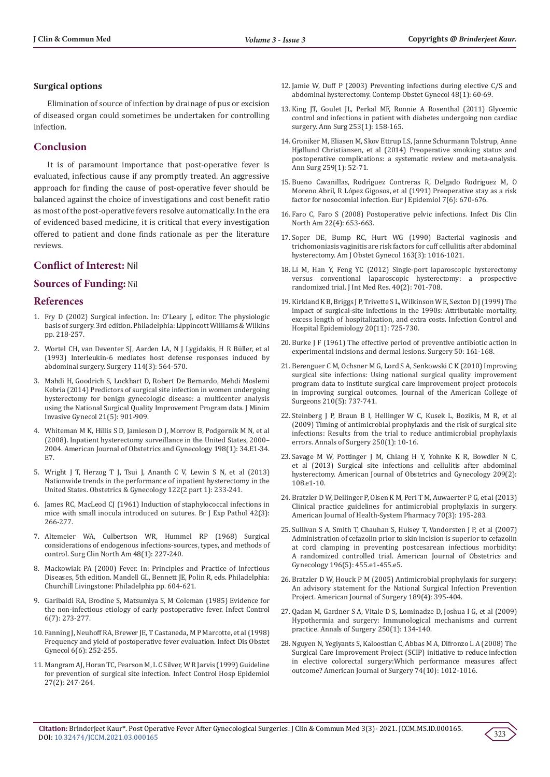## **Surgical options**

Elimination of source of infection by drainage of pus or excision of diseased organ could sometimes be undertaken for controlling infection.

# **Conclusion**

It is of paramount importance that post-operative fever is evaluated, infectious cause if any promptly treated. An aggressive approach for finding the cause of post-operative fever should be balanced against the choice of investigations and cost benefit ratio as most of the post-operative fevers resolve automatically. In the era of evidenced based medicine, it is critical that every investigation offered to patient and done finds rationale as per the literature reviews.

# **Conflict of Interest:** Nil

# **Sources of Funding:** Nil

## **References**

- 1. Fry D (2002) Surgical infection. In: O'Leary J, editor. The physiologic basis of surgery. 3rd edition. Philadelphia: Lippincott Williams & Wilkins pp. 218-257.
- 2. [Wortel CH, van Deventer SJ, Aarden LA,](https://pubmed.ncbi.nlm.nih.gov/7690162/) N J Lygidakis, H R Büller, et al [\(1993\) Interleukin-6 mediates host defense responses induced by](https://pubmed.ncbi.nlm.nih.gov/7690162/) [abdominal surgery. Surgery 114\(3\): 564-570.](https://pubmed.ncbi.nlm.nih.gov/7690162/)
- 3. [Mahdi H, Goodrich S, Lockhart D, Robert De Bernardo, Mehdi Moslemi](https://pubmed.ncbi.nlm.nih.gov/24768957/) [Kebria \(2014\) Predictors of surgical site infection in women undergoing](https://pubmed.ncbi.nlm.nih.gov/24768957/) [hysterectomy for benign gynecologic disease: a multicenter analysis](https://pubmed.ncbi.nlm.nih.gov/24768957/) [using the National Surgical Quality Improvement Program data. J Minim](https://pubmed.ncbi.nlm.nih.gov/24768957/) [Invasive Gynecol 21\(5\): 901-909.](https://pubmed.ncbi.nlm.nih.gov/24768957/)
- 4. [Whiteman M K, Hillis S D, Jamieson D J, Morrow B, Podgornik M N, et al](https://www.ajog.org/article/S0002-9378(07)00679-5/fulltext) [\(2008\). Inpatient hysterectomy surveillance in the United States, 2000–](https://www.ajog.org/article/S0002-9378(07)00679-5/fulltext) [2004. American Journal of Obstetrics and Gynecology 198\(1\): 34.E1-34.](https://www.ajog.org/article/S0002-9378(07)00679-5/fulltext) [E7.](https://www.ajog.org/article/S0002-9378(07)00679-5/fulltext)
- 5. [Wright J T, Herzog T J, Tsui J, Ananth C V, Lewin S N, et al \(2013\)](https://pubmed.ncbi.nlm.nih.gov/23969789/) [Nationwide trends in the performance of inpatient hysterectomy in the](https://pubmed.ncbi.nlm.nih.gov/23969789/) [United States. Obstetrics & Gynecology 122\(2 part 1\): 233-241.](https://pubmed.ncbi.nlm.nih.gov/23969789/)
- 6. [James RC, MacLeod CJ \(1961\) Induction of staphylococcal infections in](https://pubmed.ncbi.nlm.nih.gov/13789320/) [mice with small inocula introduced on sutures. Br J Exp Pathol 42\(3\):](https://pubmed.ncbi.nlm.nih.gov/13789320/) [266-277.](https://pubmed.ncbi.nlm.nih.gov/13789320/)
- 7. [Altemeier WA, Culbertson WR, Hummel RP \(1968\) Surgical](https://pubmed.ncbi.nlm.nih.gov/5640439/) [considerations of endogenous infections-sources, types, and methods of](https://pubmed.ncbi.nlm.nih.gov/5640439/) [control. Surg Clin North Am 48\(1\): 227-240.](https://pubmed.ncbi.nlm.nih.gov/5640439/)
- 8. Mackowiak PA (2000) Fever. In: Principles and Practice of Infectious Diseases, 5th edition. Mandell GL, Bennett JE, Polin R, eds. Philadelphia: Churchill Livingstone: Philadelphia pp. 604-621.
- 9. [Garibaldi RA, Brodine S, Matsumiya S, M Coleman \(1985\) Evidence for](https://pubmed.ncbi.nlm.nih.gov/3847403/%5d) [the non-infectious etiology of early postoperative fever. Infect Control](https://pubmed.ncbi.nlm.nih.gov/3847403/%5d) [6\(7\): 273-277.](https://pubmed.ncbi.nlm.nih.gov/3847403/%5d)
- 10. [Fanning J, Neuhoff RA, Brewer JE, T Castaneda, M P Marcotte, et al \(1998\)](https://pubmed.ncbi.nlm.nih.gov/9972487/) [Frequency and yield of postoperative fever evaluation. Infect Dis Obstet](https://pubmed.ncbi.nlm.nih.gov/9972487/) [Gynecol 6\(6\): 252-255.](https://pubmed.ncbi.nlm.nih.gov/9972487/)
- 11. [Mangram AJ, Horan TC, Pearson M, L C Silver, W R Jarvis \(1999\) Guideline](https://pubmed.ncbi.nlm.nih.gov/10196487/) [for prevention of surgical site infection. Infect Control Hosp Epidemiol](https://pubmed.ncbi.nlm.nih.gov/10196487/) [27\(2\): 247-264.](https://pubmed.ncbi.nlm.nih.gov/10196487/)
- 12. [Jamie W, Duff P \(2003\) Preventing infections during elective C/S and](https://www.researchgate.net/publication/287628830_Preventing_infections_during_elective_CS_and_abdominal_hysterectomy)  [abdominal hysterectomy. Contemp Obstet Gynecol 48\(1\): 60-69.](https://www.researchgate.net/publication/287628830_Preventing_infections_during_elective_CS_and_abdominal_hysterectomy)
- 13. [King JT, Goulet JL, Perkal MF, Ronnie A Rosenthal \(2011\) Glycemic](https://pubmed.ncbi.nlm.nih.gov/21135698/)  [control and infections in patient with diabetes undergoing non cardiac](https://pubmed.ncbi.nlm.nih.gov/21135698/)  [surgery. Ann Surg 253\(1\): 158-165.](https://pubmed.ncbi.nlm.nih.gov/21135698/)
- 14. [Groniker M, Eliasen M, Skov Ettrup LS,](https://pubmed.ncbi.nlm.nih.gov/23799418/) Janne Schurmann Tolstrup, Anne [Hjøllund Christiansen, et al \(2014\) Preoperative smoking status and](https://pubmed.ncbi.nlm.nih.gov/23799418/)  [postoperative complications: a systematic review and meta-analysis.](https://pubmed.ncbi.nlm.nih.gov/23799418/)  [Ann Surg 259\(1\): 52-71.](https://pubmed.ncbi.nlm.nih.gov/23799418/)
- 15. [Bueno Cavanillas, Rodrìguez Contreras R, Delgado Rodriguez M, O](https://pubmed.ncbi.nlm.nih.gov/1783060/)  [Moreno Abril, R López Gigosos, et al \(1991\) Preoperative stay as a risk](https://pubmed.ncbi.nlm.nih.gov/1783060/)  [factor for nosocomial infection. Eur J Epidemiol 7\(6\): 670-676.](https://pubmed.ncbi.nlm.nih.gov/1783060/)
- 16. [Faro C, Faro S \(2008\) Postoperative pelvic infections. Infect Dis Clin](https://pubmed.ncbi.nlm.nih.gov/18954757/)  [North Am 22\(4\): 653-663.](https://pubmed.ncbi.nlm.nih.gov/18954757/)
- 17. [Soper DE, Bump RC, Hurt WG \(1990\) Bacterial vaginosis and](https://pubmed.ncbi.nlm.nih.gov/2403128/)  [trichomoniasis vaginitis are risk factors for cuff cellulitis after abdominal](https://pubmed.ncbi.nlm.nih.gov/2403128/)  [hysterectomy. Am J Obstet Gynecol 163\(3\): 1016-1021.](https://pubmed.ncbi.nlm.nih.gov/2403128/)
- 18. [Li M, Han Y, Feng YC \(2012\) Single-port laparoscopic hysterectomy](https://pubmed.ncbi.nlm.nih.gov/22613433/)  [versus conventional laparoscopic hysterectomy: a prospective](https://pubmed.ncbi.nlm.nih.gov/22613433/)  [randomized trial. J Int Med Res. 40\(2\): 701-708.](https://pubmed.ncbi.nlm.nih.gov/22613433/)
- 19. [Kirkland K B, Briggs J P, Trivette S L, Wilkinson W E, Sexton D J \(1999\) The](https://pubmed.ncbi.nlm.nih.gov/10580621/)  [impact of surgical-site infections in the 1990s: Attributable mortality,](https://pubmed.ncbi.nlm.nih.gov/10580621/)  [excess length of hospitalization, and extra costs. Infection Control and](https://pubmed.ncbi.nlm.nih.gov/10580621/)  [Hospital Epidemiology 20\(11\): 725-730.](https://pubmed.ncbi.nlm.nih.gov/10580621/)
- 20. [Burke J F \(1961\) The effective period of preventive antibiotic action in](https://pubmed.ncbi.nlm.nih.gov/16722001/)  [experimental incisions and dermal lesions. Surgery 50: 161-168.](https://pubmed.ncbi.nlm.nih.gov/16722001/)
- 21. [Berenguer C M, Ochsner M G, Lord S A, Senkowski C K \(2010\) Improving](https://pubmed.ncbi.nlm.nih.gov/20421041/)  [surgical site infections: Using national surgical quality improvement](https://pubmed.ncbi.nlm.nih.gov/20421041/)  [program data to institute surgical care improvement project protocols](https://pubmed.ncbi.nlm.nih.gov/20421041/)  [in improving surgical outcomes. Journal of the American College of](https://pubmed.ncbi.nlm.nih.gov/20421041/)  [Surgeons 210\(5\): 737-741.](https://pubmed.ncbi.nlm.nih.gov/20421041/)
- 22. [Steinberg J P, Braun B I, Hellinger W C, Kusek L, Bozikis, M R, et al](https://pubmed.ncbi.nlm.nih.gov/19561486/)  [\(2009\) Timing of antimicrobial prophylaxis and the risk of surgical site](https://pubmed.ncbi.nlm.nih.gov/19561486/)  [infections: Results from the trial to reduce antimicrobial prophylaxis](https://pubmed.ncbi.nlm.nih.gov/19561486/)  [errors. Annals of Surgery 250\(1\): 10-16.](https://pubmed.ncbi.nlm.nih.gov/19561486/)
- 23. [Savage M W, Pottinger J M, Chiang H Y, Yohnke K R, Bowdler N C,](https://pubmed.ncbi.nlm.nih.gov/23711665/)  [et al \(2013\) Surgical site infections and cellulitis after abdominal](https://pubmed.ncbi.nlm.nih.gov/23711665/)  [hysterectomy. American Journal of Obstetrics and Gynecology 209\(2\):](https://pubmed.ncbi.nlm.nih.gov/23711665/)  [108.e1-10.](https://pubmed.ncbi.nlm.nih.gov/23711665/)
- 24. [Bratzler D W, Dellinger P, Olsen K M, Peri T M, Auwaerter P G, et al \(2013\)](https://pubmed.ncbi.nlm.nih.gov/23327981/)  [Clinical practice guidelines for antimicrobial prophylaxis in surgery.](https://pubmed.ncbi.nlm.nih.gov/23327981/)  [American Journal of Health-System Pharmacy 70\(3\): 195-283.](https://pubmed.ncbi.nlm.nih.gov/23327981/)
- 25. [Sullivan S A, Smith T, Chauhan S, Hulsey T, Vandorsten J P, et al \(2007\)](https://pubmed.ncbi.nlm.nih.gov/17466699/)  [Administration of cefazolin prior to skin incision is superior to cefazolin](https://pubmed.ncbi.nlm.nih.gov/17466699/)  [at cord clamping in preventing postcesarean infectious morbidity:](https://pubmed.ncbi.nlm.nih.gov/17466699/)  [A randomized controlled trial. American Journal of Obstetrics and](https://pubmed.ncbi.nlm.nih.gov/17466699/)  [Gynecology 196\(5\): 455.e1-455.e5.](https://pubmed.ncbi.nlm.nih.gov/17466699/)
- 26. [Bratzler D W, Houck P M \(2005\) Antimicrobial prophylaxis for surgery:](https://pubmed.ncbi.nlm.nih.gov/15820449/)  [An advisory statement for the National Surgical Infection Prevention](https://pubmed.ncbi.nlm.nih.gov/15820449/)  [Project. American Journal of Surgery 189\(4\): 395-404.](https://pubmed.ncbi.nlm.nih.gov/15820449/)
- 27. [Qadan M, Gardner S A, Vitale D S, Lominadze D, Joshua I G, et al \(2009\)](https://pubmed.ncbi.nlm.nih.gov/19561472/)  [Hypothermia and surgery: Immunological mechanisms and current](https://pubmed.ncbi.nlm.nih.gov/19561472/)  [practice. Annals of Surgery 250\(1\): 134-140.](https://pubmed.ncbi.nlm.nih.gov/19561472/)
- 28. [Nguyen N, Yegiyants S, Kaloostian C, Abbas M A, Difronzo L A \(2008\) The](https://pubmed.ncbi.nlm.nih.gov/18942634/)  [Surgical Care Improvement Project \(SCIP\) initiative to reduce infection](https://pubmed.ncbi.nlm.nih.gov/18942634/)  [in elective colorectal surgery:Which performance measures affect](https://pubmed.ncbi.nlm.nih.gov/18942634/)  [outcome? American Journal of Surgery 74\(10\): 1012-1016.](https://pubmed.ncbi.nlm.nih.gov/18942634/)